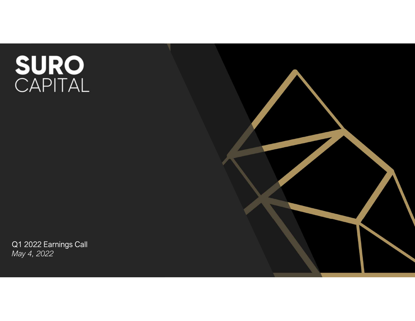### SURO<br>CAPITAL

Q1 2022 Earnings Call May 4, 2022

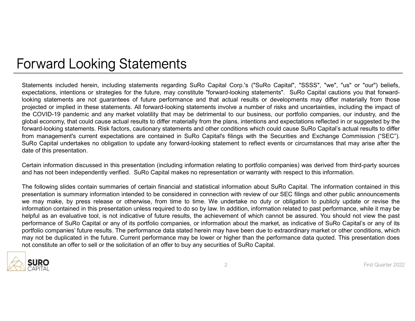### Forward Looking Statements

Statements included herein, including statements regarding SuRo Capital Corp.'s ("SuRo Capital", "SSSS", "we", "us" or "our") beliefs, expectations, intentions or strategies for the future, may constitute "forward-looking Fortward Looking Statements including statements regarding SuRo Capital Corp.'s ("SuRo Capital", "SSSS", "we", "us" or "our") beliefs.<br>expectations, intentions or strategies for the future, may constitute "forward-looking Looking statements are not guarantees of the future performance and that actual results. The capital cautions yie were not guarantees of the future performance and that actual results. Sure Capital cautions you that forwar FOTWATO LOOKING Statements including statements regarding SuRo Capital Corp.'s ("SuRo Capital", "SSSS", "we", "us" or "our") beliefs,<br>expectations, intentions or stategies for the future, may constitute "forward-looking st TOTWATO LOOKING Statements regarding sure Capital Corp.'s ("SuRo Capital", "SSSS", "we", "us" or "our") beliefs, expectations, intentions or strategies for the future, may constitute "forward-looking statements". SuRo Capi FOTWATC LOOKING Statements regarding sure Capital Corp.'s ("SurRo Capital", "SSSS", "we", "us" or "our") beliefs,<br>expectations, intentions or strategies for the future, may considict "orward-looking statements". Surfor Cap Forward-looking statements. Risk factors, cautionary statements for the forward-looking statements". SSRS", "we", "us" or "our") beliefs, expectations, intentions or strategies for the future, may constitute "forward-looki For Ward Looking Statements including statements regarding SuRo Capital Corp.'s ("SuRo Capital", "SSSS", "we", "us" or "our") beliefs,<br>expectations, intentions or strategies for the future, may constitute "forward-looking For Ward Looking statements included herein, including statements regarding SuRo Capital Corp.'s ("SuRo Capital", "SSSS", "we", "us" or "our") beliefs, expectations, intentions or strategies for the future, may constitute **COTWATC LOOKING Statements**<br> **COTWATC LOOKING Statements** regarding SuRo Capital<br>
expectations, intentions or strategies for the future, may constitute "forward<br>
boxiding statements are not guarantees of future performanc COTWATION LOOKING Statements including attenuation sequenting SuRG Capital Corp.'s ("SuRG Capital", "SSSS", "we", "us" or "our") beliefs.<br>Statements included herein, including statements regarding SuRG Capital Corp.'s ("Su For Warrel Looking Statements regarding sure capital Corp.'s ("SuRo Capital", "SSSS", "we", "us" or "our") beliefs.<br>Statements included herein, including statements regarding SuRo Capital Corp.'s ("SuRo Capital", "SSSS", " For Ward Looking Statements regarding sure capital Corp.'s ("Sure Capital", "SSSS", "we", "us" or "our") beliefs, expectations, interlucing sure contained regarding SuRo Capital Corp.'s ("SuRo Capital", "SSSS", "we", "us" FOTWATIO LOOKING Statements included herein, including statements regarding SuRo Capital Corp.'s ("SuRo Capital", "SSSS", "we", "us" or "our") beliefs, expectations, intentions or strategies for the future, may constitute UT WATHER Statements included herein, including statements regarding SuRo Capital Corp.'s ("SuRo Capital", "SSSS", "we", "us" or "our") beliefs,<br>expectations, interluding statements regarding SuRo Capital Corp.'s ("SuRo Ca Statements included herein, including statements regarding SuRo Capital Corp.'s ("SuRo Capital", "SSSS", "we", "us" or "our") beliefs,<br>expectations, intentions or strategies for the future, may constitute "forward-looking Statements included herein, including statements regarding SuRo Capital Corp's ("SuRo Capital", "SSSS", "we", "us" or "our") beliefs, mentions including statements. All for comparable for the future, may constitute "forwar become the method in this method of the fultre, may constitute "foward-ooking statements". SuRo Capital cautions you that forward-<br>projected or implied in these statements are future performance and that actual results or

booking statements are not guarantees of tuture performance and that actual results or developments may differ materially from those<br>projected or implied in these statements. All forward-looking statements move a number of mount a constrained in this presentation and may make than the mount of the construction of the mount of the computed in the performance data performance of the mount of the performance and any material does and uncertaint notion-different and the solution and the solution of the solicitation of an offer to sell or the solicitation of an offer to buy any securities of SuRo Capital. This presentation of the solicitation of the solicitation of

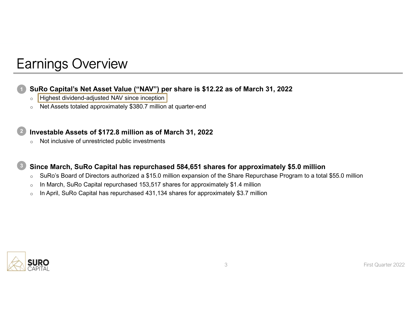### Earnings Overview

# • SuRo Capital's Net Asset Value ("NAV") per share is \$12.22 as of March 31, 2022<br>
• Highest dividend-adjusted NAV since inception of National State of Assets totaled approximately \$380.7 million at quarter-end<br>
• Net Asse SuRo Capital's Net Asset Value ("NAV") per share is \$12.22 as of March 31, 2022

- 
- 

#### Investable Assets of \$172.8 million as of March 31, 2022

## Forming C OVerview<br>
• Instruction and the Asset Value ("NAV") per share is \$12.22 as of March 31, 2022<br>
• Highest dividend-adjusted NAV since inception |<br>
• Not Assets totaled approximately \$380.7 million at quarter-end<br> • SuRo Capital's Net Asset Value ("NAV") per share is \$12.22 as of March 31, 2022<br>• Highest dividend-adjusted NAV since inception |<br>• Net Assets totaled approximately \$380.7 million at quarter-end<br>• Net Assets totaled appr **SING Capital's Net Asset Value ("NAV") per share is \$12.22 as of March 31, 2022**<br>
• Highest dividend-adjusted NAV sine inception<br>
• Net Assets totaled approximately \$360.7 million at quarter-end<br>
Investable Assets for \$17

- 
- 
- 



3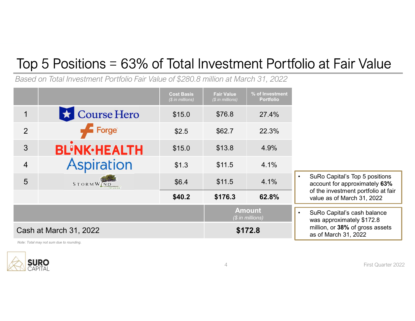### Top 5 Positions = 63% of Total Investment Portfolio at Fair Value

|                        | Top 5 Positions = 63% of Total Investment Portfolio at Fair Value                   |                                       |                                       |                                     |                                                                              |  |
|------------------------|-------------------------------------------------------------------------------------|---------------------------------------|---------------------------------------|-------------------------------------|------------------------------------------------------------------------------|--|
|                        | Based on Total Investment Portfolio Fair Value of \$280.8 million at March 31, 2022 |                                       |                                       |                                     |                                                                              |  |
|                        |                                                                                     | <b>Cost Basis</b><br>(\$ in millions) | <b>Fair Value</b><br>(\$ in millions) | % of Investment<br><b>Portfolio</b> |                                                                              |  |
| $\mathbf 1$            | $\star$ Course Hero                                                                 | \$15.0                                | \$76.8                                | 27.4%                               |                                                                              |  |
| $\overline{2}$         | Forge <sup>®</sup>                                                                  | \$2.5                                 | \$62.7                                | 22.3%                               |                                                                              |  |
| $3\overline{3}$        | <b>BL'NK-HEALTH</b>                                                                 | \$15.0                                | \$13.8                                | 4.9%                                |                                                                              |  |
| $\overline{4}$         | <b>Aspiration</b>                                                                   | \$1.3                                 | \$11.5                                | 4.1%                                |                                                                              |  |
| 5                      | <b>STORMW ND</b>                                                                    | \$6.4                                 | \$11.5                                | 4.1%                                | SuRo Capital's Top 5 positions<br>$\bullet$<br>account for approximately 63% |  |
|                        |                                                                                     | \$40.2\$                              | \$176.3                               | 62.8%                               | of the investment portfolio at fair<br>value as of March 31, 2022            |  |
|                        |                                                                                     |                                       | <b>Amount</b><br>(\$ in millions)     |                                     | SuRo Capital's cash balance<br>$\bullet$<br>was approximately \$172.8        |  |
| Cash at March 31, 2022 |                                                                                     |                                       | \$172.8                               |                                     | million, or 38% of gross assets<br>as of March 31, 2022                      |  |
|                        | Note: Total may not sum due to rounding.                                            |                                       |                                       |                                     |                                                                              |  |
| <b>SURO</b>            |                                                                                     |                                       |                                       |                                     | First Quarter 2022                                                           |  |

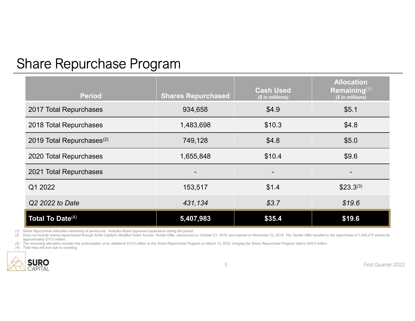### Share Repurchase Program

| <b>Share Repurchase Program</b>                                                                                                                                                                                                                                                                                                                                                                                                                                                                                                                                                                                                         |                           |                                      |                                                       |
|-----------------------------------------------------------------------------------------------------------------------------------------------------------------------------------------------------------------------------------------------------------------------------------------------------------------------------------------------------------------------------------------------------------------------------------------------------------------------------------------------------------------------------------------------------------------------------------------------------------------------------------------|---------------------------|--------------------------------------|-------------------------------------------------------|
| <b>Period</b>                                                                                                                                                                                                                                                                                                                                                                                                                                                                                                                                                                                                                           | <b>Shares Repurchased</b> | <b>Cash Used</b><br>(\$ in millions) | <b>Allocation</b><br>Remaining(1)<br>$$$ in millions) |
| 2017 Total Repurchases                                                                                                                                                                                                                                                                                                                                                                                                                                                                                                                                                                                                                  | 934,658                   | \$4.9                                | \$5.1                                                 |
| 2018 Total Repurchases                                                                                                                                                                                                                                                                                                                                                                                                                                                                                                                                                                                                                  | 1,483,698                 | \$10.3                               | \$4.8                                                 |
| 2019 Total Repurchases <sup>(2)</sup>                                                                                                                                                                                                                                                                                                                                                                                                                                                                                                                                                                                                   | 749,128                   | \$4.8                                | \$5.0                                                 |
| 2020 Total Repurchases                                                                                                                                                                                                                                                                                                                                                                                                                                                                                                                                                                                                                  | 1,655,848                 | \$10.4                               | \$9.6                                                 |
| 2021 Total Repurchases                                                                                                                                                                                                                                                                                                                                                                                                                                                                                                                                                                                                                  |                           |                                      |                                                       |
| Q1 2022                                                                                                                                                                                                                                                                                                                                                                                                                                                                                                                                                                                                                                 | 153,517                   | \$1.4                                | $$23.3^{(3)}$                                         |
| Q2 2022 to Date                                                                                                                                                                                                                                                                                                                                                                                                                                                                                                                                                                                                                         | 431,134                   | \$3.7                                | \$19.6                                                |
| Total To Date <sup>(4)</sup>                                                                                                                                                                                                                                                                                                                                                                                                                                                                                                                                                                                                            | 5,407,983                 | \$35.4                               | \$19.6                                                |
| (1) Share Repurchase Allocation remaining at period end. Includes Board approved expansions during the period.<br>(2) Does not include shares repurchased through SuRo Capital's Modified Dutch Auction Tender Offer, announced on October 21, 2019, and expired on November 22, 2019. The Tender Offer resulted in the repurchase of 1,449,275<br>approximately \$10.0 million.<br>(3) The remaining allocation includes the authorization of an additional \$15.0 million to the Share Repurchase Program on March 13, 2022, bringing the Share Repurchase Program total to \$55.0 million.<br>(4) Total may not sum due to rounding. |                           |                                      |                                                       |
| <b>SURO</b><br>5<br>CAPITAL                                                                                                                                                                                                                                                                                                                                                                                                                                                                                                                                                                                                             |                           |                                      | First Quarter 2022                                    |

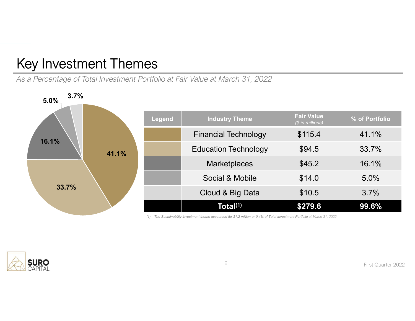### Key Investment Themes